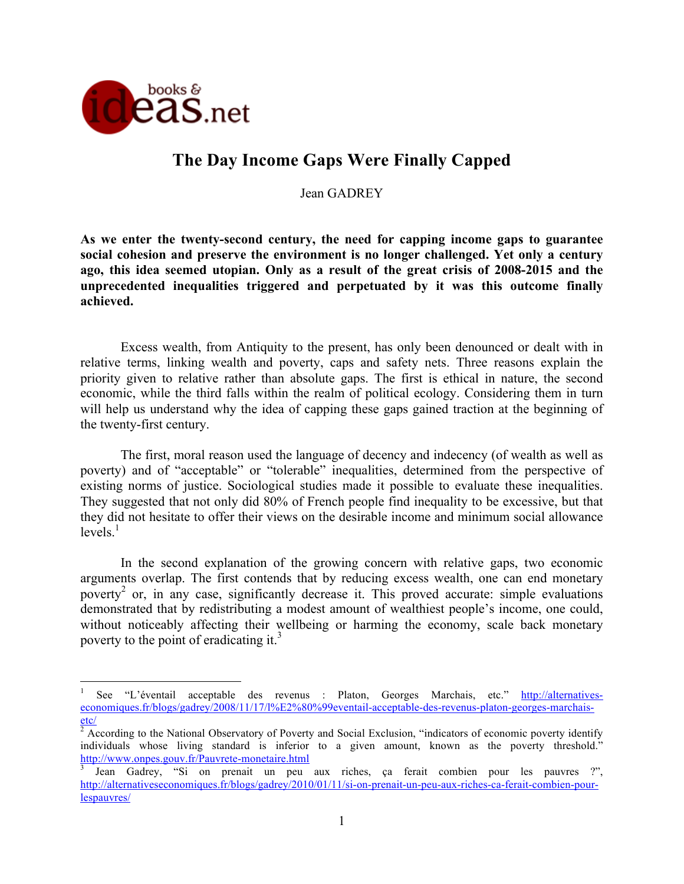

# **The Day Income Gaps Were Finally Capped**

Jean GADREY

**As we enter the twenty-second century, the need for capping income gaps to guarantee social cohesion and preserve the environment is no longer challenged. Yet only a century ago, this idea seemed utopian. Only as a result of the great crisis of 2008-2015 and the unprecedented inequalities triggered and perpetuated by it was this outcome finally achieved.** 

Excess wealth, from Antiquity to the present, has only been denounced or dealt with in relative terms, linking wealth and poverty, caps and safety nets. Three reasons explain the priority given to relative rather than absolute gaps. The first is ethical in nature, the second economic, while the third falls within the realm of political ecology. Considering them in turn will help us understand why the idea of capping these gaps gained traction at the beginning of the twenty-first century.

The first, moral reason used the language of decency and indecency (of wealth as well as poverty) and of "acceptable" or "tolerable" inequalities, determined from the perspective of existing norms of justice. Sociological studies made it possible to evaluate these inequalities. They suggested that not only did 80% of French people find inequality to be excessive, but that they did not hesitate to offer their views on the desirable income and minimum social allowance  $levels<sup>1</sup>$ 

In the second explanation of the growing concern with relative gaps, two economic arguments overlap. The first contends that by reducing excess wealth, one can end monetary poverty<sup>2</sup> or, in any case, significantly decrease it. This proved accurate: simple evaluations demonstrated that by redistributing a modest amount of wealthiest people's income, one could, without noticeably affecting their wellbeing or harming the economy, scale back monetary poverty to the point of eradicating it.<sup>3</sup>

 $\frac{1}{1}$  See "L'éventail acceptable des revenus : Platon, Georges Marchais, etc." http://alternativeseconomiques.fr/blogs/gadrey/2008/11/17/l%E2%80%99eventail-acceptable-des-revenus-platon-georges-marchaisetc/

 $2$  According to the National Observatory of Poverty and Social Exclusion, "indicators of economic poverty identify individuals whose living standard is inferior to a given amount, known as the poverty threshold." http://www.onpes.gouv.fr/Pauvrete-monetaire.html <sup>3</sup>

Jean Gadrey, "Si on prenait un peu aux riches, ça ferait combien pour les pauvres ?", http://alternativeseconomiques.fr/blogs/gadrey/2010/01/11/si-on-prenait-un-peu-aux-riches-ca-ferait-combien-pourlespauvres/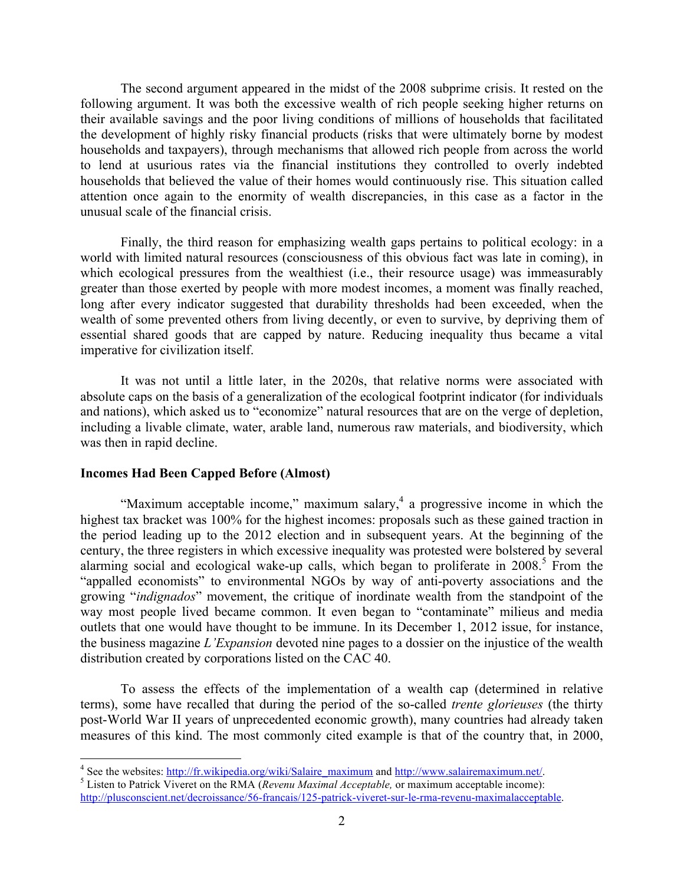The second argument appeared in the midst of the 2008 subprime crisis. It rested on the following argument. It was both the excessive wealth of rich people seeking higher returns on their available savings and the poor living conditions of millions of households that facilitated the development of highly risky financial products (risks that were ultimately borne by modest households and taxpayers), through mechanisms that allowed rich people from across the world to lend at usurious rates via the financial institutions they controlled to overly indebted households that believed the value of their homes would continuously rise. This situation called attention once again to the enormity of wealth discrepancies, in this case as a factor in the unusual scale of the financial crisis.

Finally, the third reason for emphasizing wealth gaps pertains to political ecology: in a world with limited natural resources (consciousness of this obvious fact was late in coming), in which ecological pressures from the wealthiest *(i.e., their resource usage)* was immeasurably greater than those exerted by people with more modest incomes, a moment was finally reached, long after every indicator suggested that durability thresholds had been exceeded, when the wealth of some prevented others from living decently, or even to survive, by depriving them of essential shared goods that are capped by nature. Reducing inequality thus became a vital imperative for civilization itself.

It was not until a little later, in the 2020s, that relative norms were associated with absolute caps on the basis of a generalization of the ecological footprint indicator (for individuals and nations), which asked us to "economize" natural resources that are on the verge of depletion, including a livable climate, water, arable land, numerous raw materials, and biodiversity, which was then in rapid decline.

## **Incomes Had Been Capped Before (Almost)**

"Maximum acceptable income," maximum salary, $4$  a progressive income in which the highest tax bracket was 100% for the highest incomes: proposals such as these gained traction in the period leading up to the 2012 election and in subsequent years. At the beginning of the century, the three registers in which excessive inequality was protested were bolstered by several alarming social and ecological wake-up calls, which began to proliferate in  $2008<sup>5</sup>$ . From the "appalled economists" to environmental NGOs by way of anti-poverty associations and the growing "*indignados*" movement, the critique of inordinate wealth from the standpoint of the way most people lived became common. It even began to "contaminate" milieus and media outlets that one would have thought to be immune. In its December 1, 2012 issue, for instance, the business magazine *L'Expansion* devoted nine pages to a dossier on the injustice of the wealth distribution created by corporations listed on the CAC 40.

To assess the effects of the implementation of a wealth cap (determined in relative terms), some have recalled that during the period of the so-called *trente glorieuses* (the thirty post-World War II years of unprecedented economic growth), many countries had already taken measures of this kind. The most commonly cited example is that of the country that, in 2000,

<sup>&</sup>lt;sup>4</sup> See the websites: <u>http://fr.wikipedia.org/wiki/Salaire\_maximum</u> and <u>http://www.salairemaximum.net/.</u><br><sup>5</sup> Listen to Patrick Viveret on the RMA (*Revenu Maximal Acceptable*, or maximum acceptable income):

http://plusconscient.net/decroissance/56-francais/125-patrick-viveret-sur-le-rma-revenu-maximalacceptable.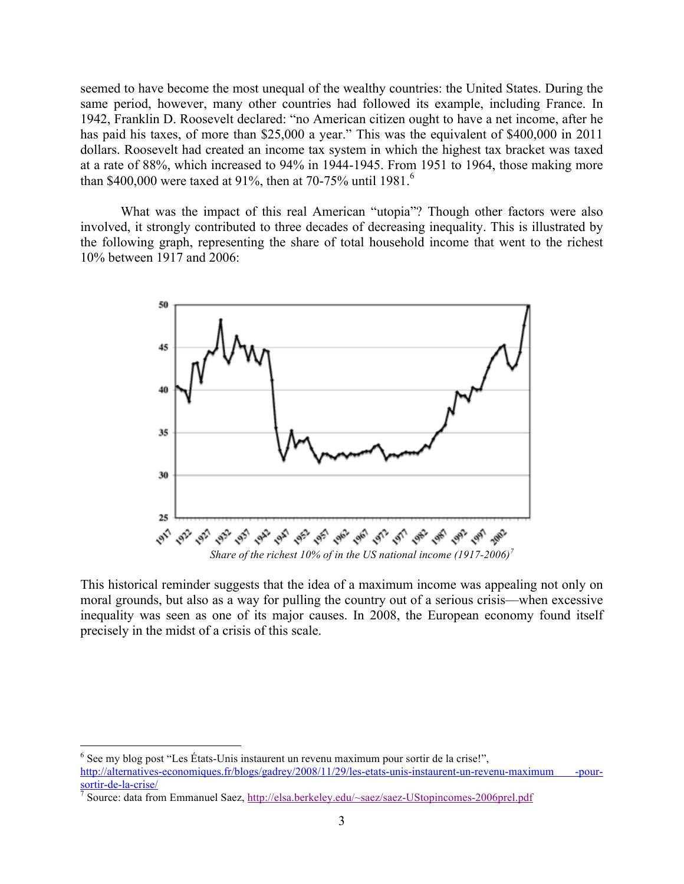seemed to have become the most unequal of the wealthy countries: the United States. During the same period, however, many other countries had followed its example, including France. In 1942, Franklin D. Roosevelt declared: "no American citizen ought to have a net income, after he has paid his taxes, of more than \$25,000 a year." This was the equivalent of \$400,000 in 2011 dollars. Roosevelt had created an income tax system in which the highest tax bracket was taxed at a rate of 88%, which increased to 94% in 1944-1945. From 1951 to 1964, those making more than \$400,000 were taxed at 91%, then at 70-75% until 1981.<sup>6</sup>

What was the impact of this real American "utopia"? Though other factors were also involved, it strongly contributed to three decades of decreasing inequality. This is illustrated by the following graph, representing the share of total household income that went to the richest 10% between 1917 and 2006:



This historical reminder suggests that the idea of a maximum income was appealing not only on moral grounds, but also as a way for pulling the country out of a serious crisis—when excessive inequality was seen as one of its major causes. In 2008, the European economy found itself precisely in the midst of a crisis of this scale.

 <sup>6</sup>  $<sup>6</sup>$  See my blog post "Les États-Unis instaurent un revenu maximum pour sortir de la crise!",</sup>

http://alternatives-economiques.fr/blogs/gadrey/2008/11/29/les-etats-unis-instaurent-un-revenu-maximum -pour-<br>sortir-de-la-crise/

<sup>&</sup>lt;sup>7</sup> Source: data from Emmanuel Saez, http://elsa.berkeley.edu/~saez/saez-UStopincomes-2006prel.pdf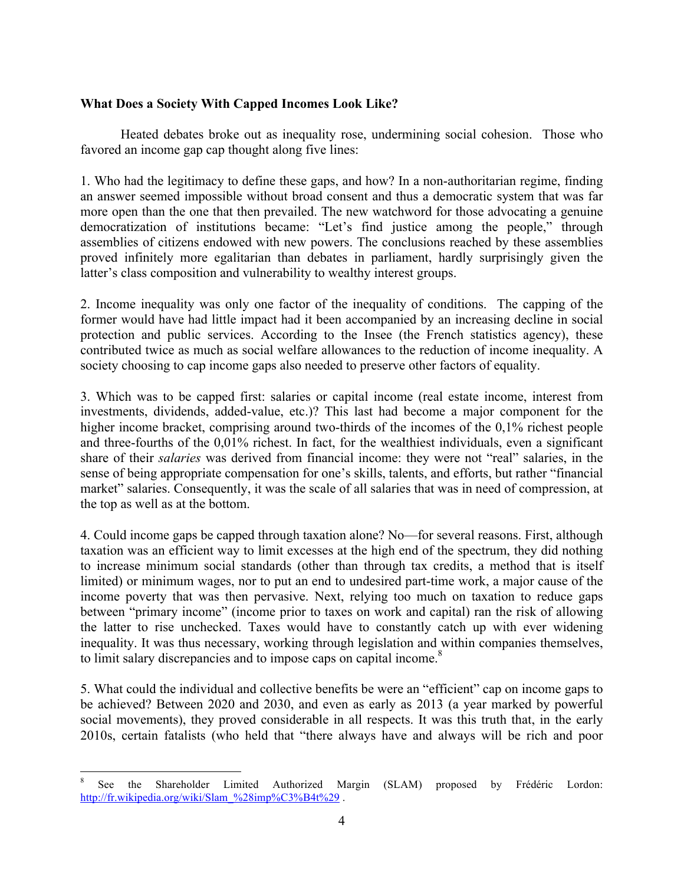# **What Does a Society With Capped Incomes Look Like?**

Heated debates broke out as inequality rose, undermining social cohesion. Those who favored an income gap cap thought along five lines:

1. Who had the legitimacy to define these gaps, and how? In a non-authoritarian regime, finding an answer seemed impossible without broad consent and thus a democratic system that was far more open than the one that then prevailed. The new watchword for those advocating a genuine democratization of institutions became: "Let's find justice among the people," through assemblies of citizens endowed with new powers. The conclusions reached by these assemblies proved infinitely more egalitarian than debates in parliament, hardly surprisingly given the latter's class composition and vulnerability to wealthy interest groups.

2. Income inequality was only one factor of the inequality of conditions. The capping of the former would have had little impact had it been accompanied by an increasing decline in social protection and public services. According to the Insee (the French statistics agency), these contributed twice as much as social welfare allowances to the reduction of income inequality. A society choosing to cap income gaps also needed to preserve other factors of equality.

3. Which was to be capped first: salaries or capital income (real estate income, interest from investments, dividends, added-value, etc.)? This last had become a major component for the higher income bracket, comprising around two-thirds of the incomes of the 0,1% richest people and three-fourths of the 0,01% richest. In fact, for the wealthiest individuals, even a significant share of their *salaries* was derived from financial income: they were not "real" salaries, in the sense of being appropriate compensation for one's skills, talents, and efforts, but rather "financial market" salaries. Consequently, it was the scale of all salaries that was in need of compression, at the top as well as at the bottom.

4. Could income gaps be capped through taxation alone? No—for several reasons. First, although taxation was an efficient way to limit excesses at the high end of the spectrum, they did nothing to increase minimum social standards (other than through tax credits, a method that is itself limited) or minimum wages, nor to put an end to undesired part-time work, a major cause of the income poverty that was then pervasive. Next, relying too much on taxation to reduce gaps between "primary income" (income prior to taxes on work and capital) ran the risk of allowing the latter to rise unchecked. Taxes would have to constantly catch up with ever widening inequality. It was thus necessary, working through legislation and within companies themselves, to limit salary discrepancies and to impose caps on capital income.<sup>8</sup>

5. What could the individual and collective benefits be were an "efficient" cap on income gaps to be achieved? Between 2020 and 2030, and even as early as 2013 (a year marked by powerful social movements), they proved considerable in all respects. It was this truth that, in the early 2010s, certain fatalists (who held that "there always have and always will be rich and poor

 <sup>8</sup> See the Shareholder Limited Authorized Margin (SLAM) proposed by Frédéric Lordon: http://fr.wikipedia.org/wiki/Slam\_%28imp%C3%B4t%29.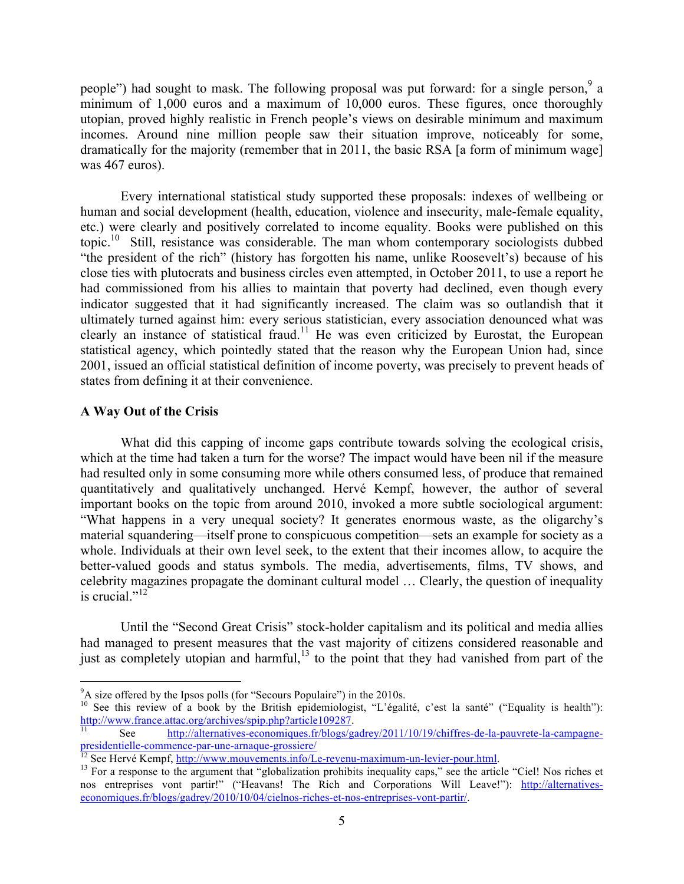people") had sought to mask. The following proposal was put forward: for a single person,  $9a$ minimum of 1,000 euros and a maximum of 10,000 euros. These figures, once thoroughly utopian, proved highly realistic in French people's views on desirable minimum and maximum incomes. Around nine million people saw their situation improve, noticeably for some, dramatically for the majority (remember that in 2011, the basic RSA [a form of minimum wage] was 467 euros).

Every international statistical study supported these proposals: indexes of wellbeing or human and social development (health, education, violence and insecurity, male-female equality, etc.) were clearly and positively correlated to income equality. Books were published on this topic.10 Still, resistance was considerable. The man whom contemporary sociologists dubbed "the president of the rich" (history has forgotten his name, unlike Roosevelt's) because of his close ties with plutocrats and business circles even attempted, in October 2011, to use a report he had commissioned from his allies to maintain that poverty had declined, even though every indicator suggested that it had significantly increased. The claim was so outlandish that it ultimately turned against him: every serious statistician, every association denounced what was clearly an instance of statistical fraud.<sup>11</sup> He was even criticized by Eurostat, the European statistical agency, which pointedly stated that the reason why the European Union had, since 2001, issued an official statistical definition of income poverty, was precisely to prevent heads of states from defining it at their convenience.

## **A Way Out of the Crisis**

What did this capping of income gaps contribute towards solving the ecological crisis, which at the time had taken a turn for the worse? The impact would have been nil if the measure had resulted only in some consuming more while others consumed less, of produce that remained quantitatively and qualitatively unchanged. Hervé Kempf, however, the author of several important books on the topic from around 2010, invoked a more subtle sociological argument: "What happens in a very unequal society? It generates enormous waste, as the oligarchy's material squandering—itself prone to conspicuous competition—sets an example for society as a whole. Individuals at their own level seek, to the extent that their incomes allow, to acquire the better-valued goods and status symbols. The media, advertisements, films, TV shows, and celebrity magazines propagate the dominant cultural model … Clearly, the question of inequality is crucial."<sup>12</sup>

Until the "Second Great Crisis" stock-holder capitalism and its political and media allies had managed to present measures that the vast majority of citizens considered reasonable and just as completely utopian and harmful,<sup>13</sup> to the point that they had vanished from part of the

<sup>-&</sup>lt;br>9

<sup>&</sup>lt;sup>9</sup>A size offered by the Ipsos polls (for "Secours Populaire") in the 2010s.<br><sup>10</sup> See this review of a book by the British epidemiologist, "L'égalité, c'est la santé" ("Equality is health"):<br> $\frac{http://www.france.atta.org/archives/spip.php?article109287}$ .

See http://alternatives-economiques.fr/blogs/gadrey/2011/10/19/chiffres-de-la-pauvrete-la-campagnepresidentielle-commence-par-une-arnaque-grossiere/<br><sup>12</sup> See Hervé Kempf, <u>http://www.mouvements.info/Le-revenu-maximum-un-levier-pour.html</u>.

<sup>&</sup>lt;sup>13</sup> For a response to the argument that "globalization prohibits inequality caps," see the article "Ciel! Nos riches et nos entreprises vont partir!" ("Heavans! The Rich and Corporations Will Leave!"): http://alternatives economiques.fr/blogs/gadrey/2010/10/04/cielnos-riches-et-nos-entreprises-vont-partir/.